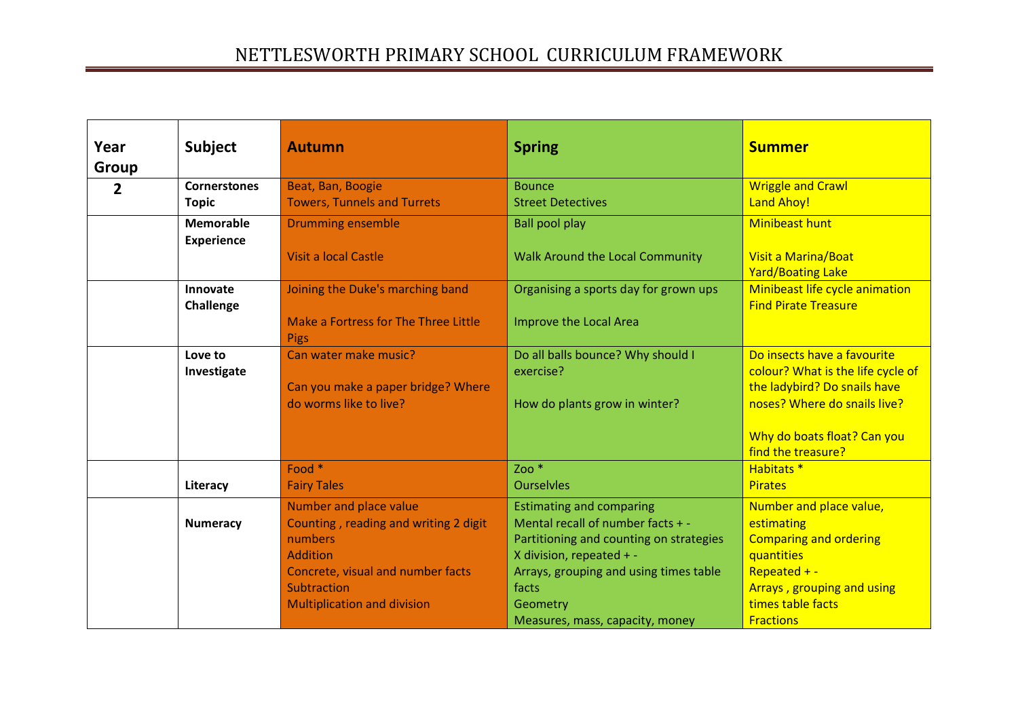| Year<br><b>Group</b> | <b>Subject</b>                        | <b>Autumn</b>                                                                                                                                                                           | <b>Spring</b>                                                                                                                                                                                              | <b>Summer</b>                                                                                                                                                                         |
|----------------------|---------------------------------------|-----------------------------------------------------------------------------------------------------------------------------------------------------------------------------------------|------------------------------------------------------------------------------------------------------------------------------------------------------------------------------------------------------------|---------------------------------------------------------------------------------------------------------------------------------------------------------------------------------------|
| $\overline{2}$       | <b>Cornerstones</b><br><b>Topic</b>   | Beat, Ban, Boogie<br><b>Towers, Tunnels and Turrets</b>                                                                                                                                 | <b>Bounce</b><br><b>Street Detectives</b>                                                                                                                                                                  | <b>Wriggle and Crawl</b><br><b>Land Ahoy!</b>                                                                                                                                         |
|                      | <b>Memorable</b><br><b>Experience</b> | <b>Drumming ensemble</b><br><b>Visit a local Castle</b>                                                                                                                                 | <b>Ball pool play</b><br>Walk Around the Local Community                                                                                                                                                   | <b>Minibeast hunt</b><br>Visit a Marina/Boat<br><b>Yard/Boating Lake</b>                                                                                                              |
|                      | Innovate<br>Challenge                 | Joining the Duke's marching band<br>Make a Fortress for The Three Little<br><b>Pigs</b>                                                                                                 | Organising a sports day for grown ups<br>Improve the Local Area                                                                                                                                            | Minibeast life cycle animation<br><b>Find Pirate Treasure</b>                                                                                                                         |
|                      | Love to<br>Investigate                | Can water make music?<br>Can you make a paper bridge? Where<br>do worms like to live?                                                                                                   | Do all balls bounce? Why should I<br>exercise?<br>How do plants grow in winter?                                                                                                                            | Do insects have a favourite<br>colour? What is the life cycle of<br>the ladybird? Do snails have<br>noses? Where do snails live?<br>Why do boats float? Can you<br>find the treasure? |
|                      | Literacy                              | Food *<br><b>Fairy Tales</b>                                                                                                                                                            | Zoo $*$<br><b>Ourselvles</b>                                                                                                                                                                               | Habitats <sup>*</sup><br><b>Pirates</b>                                                                                                                                               |
|                      | <b>Numeracy</b>                       | Number and place value<br>Counting, reading and writing 2 digit<br>numbers<br><b>Addition</b><br>Concrete, visual and number facts<br>Subtraction<br><b>Multiplication and division</b> | <b>Estimating and comparing</b><br>Mental recall of number facts + -<br>Partitioning and counting on strategies<br>X division, repeated + -<br>Arrays, grouping and using times table<br>facts<br>Geometry | Number and place value,<br>estimating<br><b>Comparing and ordering</b><br>quantities<br>Repeated $+ -$<br>Arrays, grouping and using<br>times table facts                             |
|                      |                                       |                                                                                                                                                                                         | Measures, mass, capacity, money                                                                                                                                                                            | <b>Fractions</b>                                                                                                                                                                      |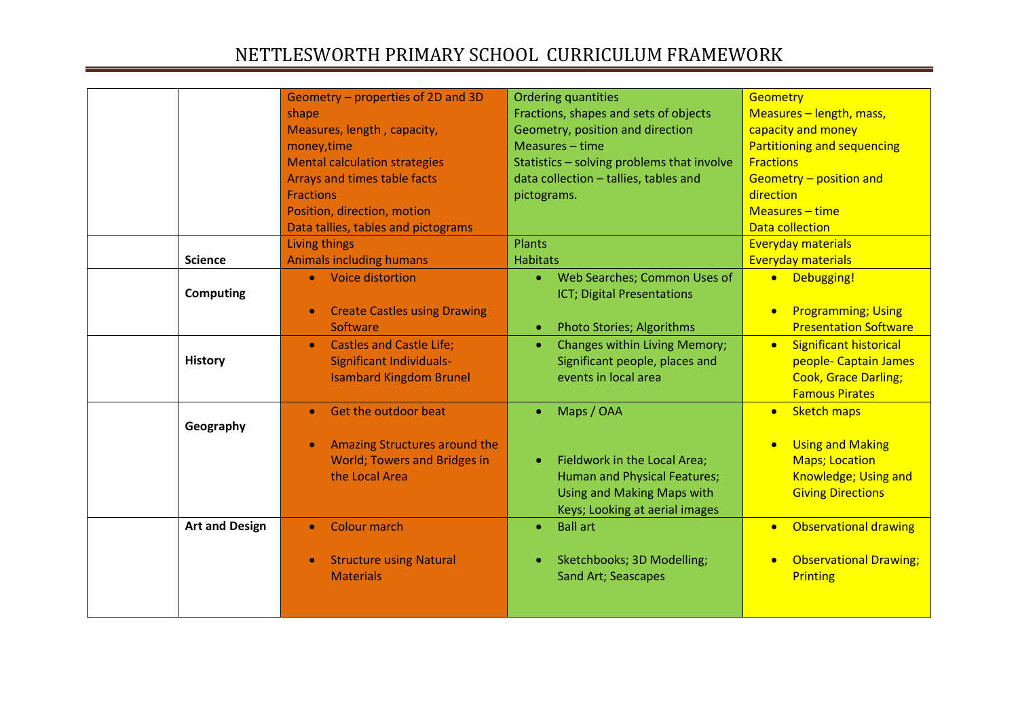|                       | Geometry - properties of 2D and 3D<br>shape<br>Measures, length, capacity,<br>money, time<br><b>Mental calculation strategies</b><br>Arrays and times table facts<br><b>Fractions</b><br>Position, direction, motion<br>Data tallies, tables and pictograms | <b>Ordering quantities</b><br>Fractions, shapes and sets of objects<br>Geometry, position and direction<br>Measures - time<br>Statistics - solving problems that involve<br>data collection - tallies, tables and<br>pictograms. | <b>Geometry</b><br>Measures - length, mass,<br>capacity and money<br><b>Partitioning and sequencing</b><br><b>Fractions</b><br>Geometry - position and<br>direction<br>$Measures - time$<br><b>Data collection</b> |
|-----------------------|-------------------------------------------------------------------------------------------------------------------------------------------------------------------------------------------------------------------------------------------------------------|----------------------------------------------------------------------------------------------------------------------------------------------------------------------------------------------------------------------------------|--------------------------------------------------------------------------------------------------------------------------------------------------------------------------------------------------------------------|
| <b>Science</b>        | Living things<br><b>Animals including humans</b>                                                                                                                                                                                                            | <b>Plants</b><br><b>Habitats</b>                                                                                                                                                                                                 | <b>Everyday materials</b><br><b>Everyday materials</b>                                                                                                                                                             |
| <b>Computing</b>      | • Voice distortion<br><b>Create Castles using Drawing</b><br>Software                                                                                                                                                                                       | • Web Searches; Common Uses of<br>ICT; Digital Presentations<br><b>Photo Stories; Algorithms</b><br>$\bullet$                                                                                                                    | • Debugging!<br><b>Programming; Using</b><br>$\bullet$<br><b>Presentation Software</b>                                                                                                                             |
| <b>History</b>        | <b>Castles and Castle Life;</b><br>Significant Individuals-<br><b>Isambard Kingdom Brunel</b>                                                                                                                                                               | Changes within Living Memory;<br>$\bullet$<br>Significant people, places and<br>events in local area                                                                                                                             | <b>Significant historical</b><br>$\bullet$<br>people- Captain James<br><b>Cook, Grace Darling;</b><br><b>Famous Pirates</b>                                                                                        |
| Geography             | Get the outdoor beat<br>Amazing Structures around the<br><b>World; Towers and Bridges in</b><br>the Local Area                                                                                                                                              | Maps / OAA<br>Fieldwork in the Local Area;<br>$\bullet$<br>Human and Physical Features;<br><b>Using and Making Maps with</b><br>Keys; Looking at aerial images                                                                   | <b>Sketch maps</b><br>$\bullet$<br><b>Using and Making</b><br>$\bullet$<br><b>Maps</b> ; Location<br>Knowledge; Using and<br><b>Giving Directions</b>                                                              |
| <b>Art and Design</b> | <b>Colour march</b><br>$\bullet$<br><b>Structure using Natural</b><br><b>Materials</b>                                                                                                                                                                      | <b>Ball art</b><br>$\bullet$<br>Sketchbooks; 3D Modelling;<br>Sand Art; Seascapes                                                                                                                                                | <b>Observational drawing</b><br>$\bullet$<br><b>Observational Drawing;</b><br>$\bullet$<br>Printing                                                                                                                |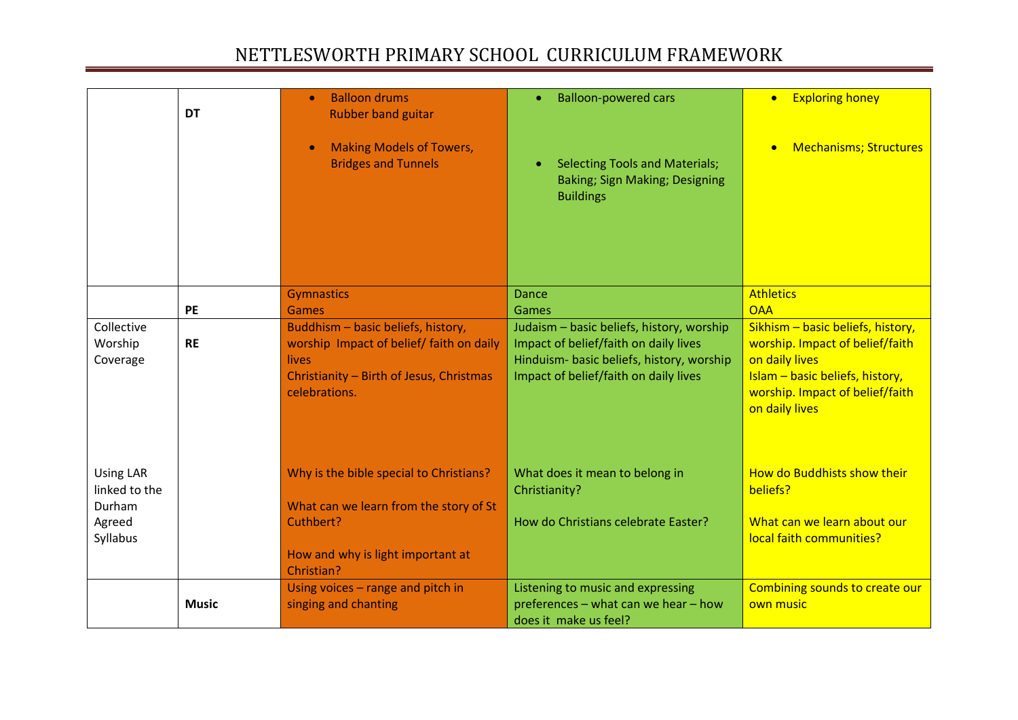|                                                                   | <b>DT</b>    | <b>Balloon drums</b><br>$\bullet$<br><b>Rubber band guitar</b><br><b>Making Models of Towers,</b><br><b>Bridges and Tunnels</b>                             | <b>Balloon-powered cars</b><br><b>Selecting Tools and Materials;</b><br>Baking; Sign Making; Designing<br><b>Buildings</b>                                               | <b>Exploring honey</b><br>$\bullet$<br><b>Mechanisms; Structures</b>                                                                                                           |
|-------------------------------------------------------------------|--------------|-------------------------------------------------------------------------------------------------------------------------------------------------------------|--------------------------------------------------------------------------------------------------------------------------------------------------------------------------|--------------------------------------------------------------------------------------------------------------------------------------------------------------------------------|
|                                                                   |              | <b>Gymnastics</b>                                                                                                                                           | <b>Dance</b>                                                                                                                                                             | <b>Athletics</b>                                                                                                                                                               |
|                                                                   | PE           | <b>Games</b>                                                                                                                                                | Games                                                                                                                                                                    | <b>OAA</b>                                                                                                                                                                     |
| Collective<br>Worship<br>Coverage                                 | <b>RE</b>    | Buddhism - basic beliefs, history,<br>worship Impact of belief/ faith on daily<br><b>lives</b><br>Christianity - Birth of Jesus, Christmas<br>celebrations. | Judaism - basic beliefs, history, worship<br>Impact of belief/faith on daily lives<br>Hinduism- basic beliefs, history, worship<br>Impact of belief/faith on daily lives | Sikhism - basic beliefs, history,<br>worship. Impact of belief/faith<br>on daily lives<br>Islam - basic beliefs, history,<br>worship. Impact of belief/faith<br>on daily lives |
| <b>Using LAR</b><br>linked to the<br>Durham<br>Agreed<br>Syllabus |              | Why is the bible special to Christians?<br>What can we learn from the story of St<br>Cuthbert?<br>How and why is light important at<br>Christian?           | What does it mean to belong in<br>Christianity?<br>How do Christians celebrate Easter?                                                                                   | How do Buddhists show their<br>beliefs?<br>What can we learn about our<br>local faith communities?                                                                             |
|                                                                   | <b>Music</b> | Using voices - range and pitch in<br>singing and chanting                                                                                                   | Listening to music and expressing<br>preferences - what can we hear - how<br>does it make us feel?                                                                       | Combining sounds to create our<br>own music                                                                                                                                    |